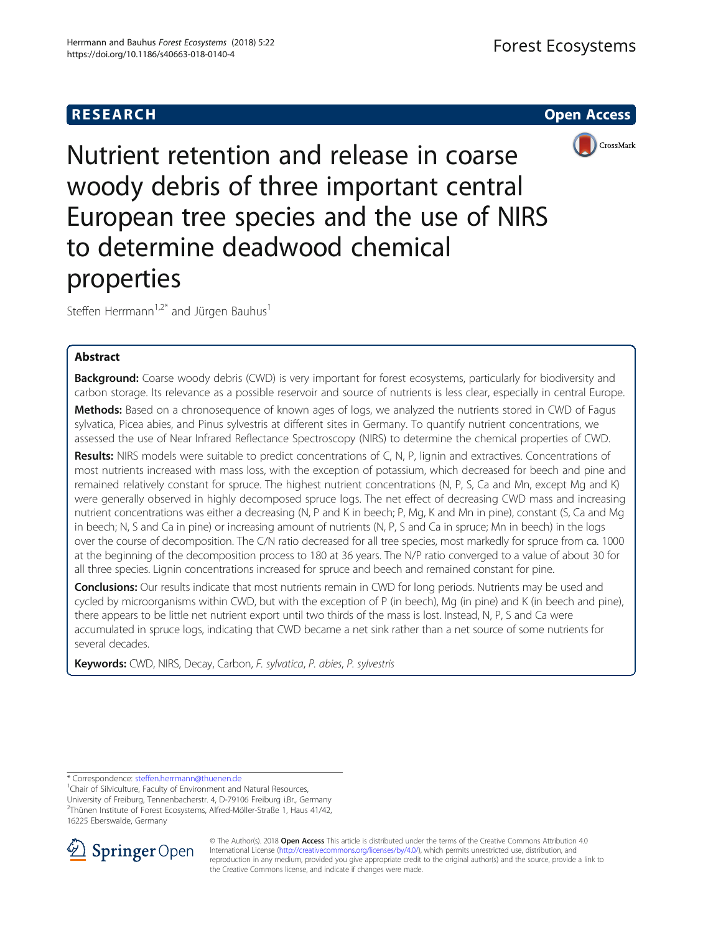



Nutrient retention and release in coarse woody debris of three important central European tree species and the use of NIRS to determine deadwood chemical properties

Steffen Herrmann<sup>1,2\*</sup> and Jürgen Bauhus<sup>1</sup>

# Abstract

Background: Coarse woody debris (CWD) is very important for forest ecosystems, particularly for biodiversity and carbon storage. Its relevance as a possible reservoir and source of nutrients is less clear, especially in central Europe.

Methods: Based on a chronosequence of known ages of logs, we analyzed the nutrients stored in CWD of Fagus sylvatica, Picea abies, and Pinus sylvestris at different sites in Germany. To quantify nutrient concentrations, we assessed the use of Near Infrared Reflectance Spectroscopy (NIRS) to determine the chemical properties of CWD.

Results: NIRS models were suitable to predict concentrations of C, N, P, lignin and extractives. Concentrations of most nutrients increased with mass loss, with the exception of potassium, which decreased for beech and pine and remained relatively constant for spruce. The highest nutrient concentrations (N, P, S, Ca and Mn, except Mg and K) were generally observed in highly decomposed spruce logs. The net effect of decreasing CWD mass and increasing nutrient concentrations was either a decreasing (N, P and K in beech; P, Mg, K and Mn in pine), constant (S, Ca and Mg in beech; N, S and Ca in pine) or increasing amount of nutrients (N, P, S and Ca in spruce; Mn in beech) in the logs over the course of decomposition. The C/N ratio decreased for all tree species, most markedly for spruce from ca. 1000 at the beginning of the decomposition process to 180 at 36 years. The N/P ratio converged to a value of about 30 for all three species. Lignin concentrations increased for spruce and beech and remained constant for pine.

**Conclusions:** Our results indicate that most nutrients remain in CWD for long periods. Nutrients may be used and cycled by microorganisms within CWD, but with the exception of P (in beech), Mg (in pine) and K (in beech and pine), there appears to be little net nutrient export until two thirds of the mass is lost. Instead, N, P, S and Ca were accumulated in spruce logs, indicating that CWD became a net sink rather than a net source of some nutrients for several decades.

Keywords: CWD, NIRS, Decay, Carbon, F. sylvatica, P. abies, P. sylvestris

\* Correspondence: [steffen.herrmann@thuenen.de](mailto:steffen.herrmann@thuenen.de) <sup>1</sup>

University of Freiburg, Tennenbacherstr. 4, D-79106 Freiburg i.Br., Germany <sup>2</sup>Thünen Institute of Forest Ecosystems, Alfred-Möller-Straße 1, Haus 41/42,

16225 Eberswalde, Germany



© The Author(s). 2018 Open Access This article is distributed under the terms of the Creative Commons Attribution 4.0 International License ([http://creativecommons.org/licenses/by/4.0/\)](http://creativecommons.org/licenses/by/4.0/), which permits unrestricted use, distribution, and reproduction in any medium, provided you give appropriate credit to the original author(s) and the source, provide a link to the Creative Commons license, and indicate if changes were made.

<sup>&</sup>lt;sup>1</sup>Chair of Silviculture, Faculty of Environment and Natural Resources,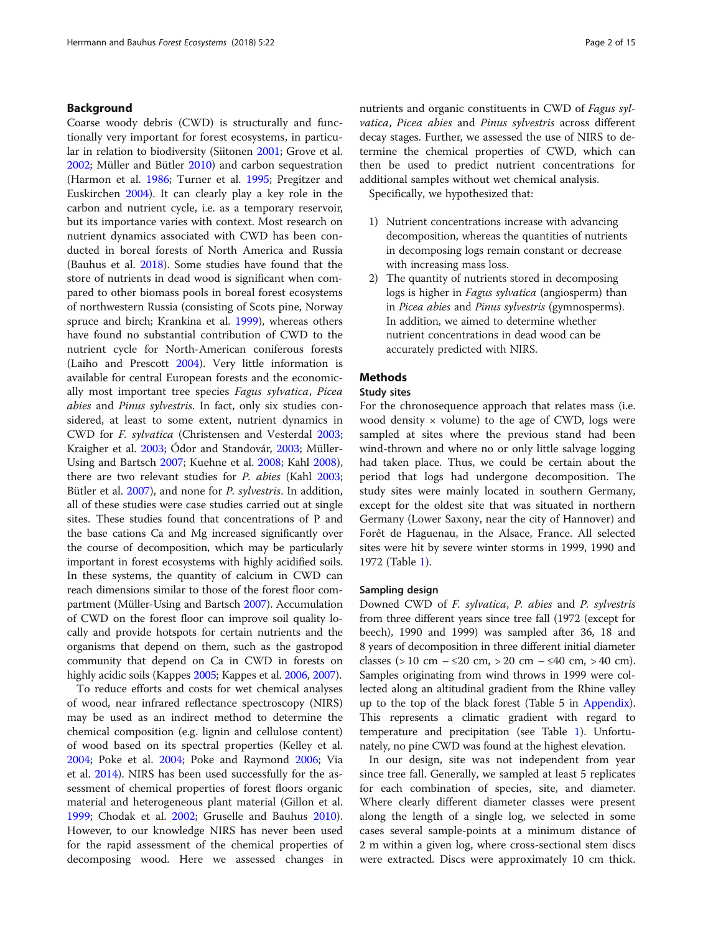# Background

Coarse woody debris (CWD) is structurally and functionally very important for forest ecosystems, in particular in relation to biodiversity (Siitonen [2001](#page-14-0); Grove et al. [2002](#page-13-0); Müller and Bütler [2010](#page-14-0)) and carbon sequestration (Harmon et al. [1986](#page-14-0); Turner et al. [1995](#page-14-0); Pregitzer and Euskirchen [2004](#page-14-0)). It can clearly play a key role in the carbon and nutrient cycle, i.e. as a temporary reservoir, but its importance varies with context. Most research on nutrient dynamics associated with CWD has been conducted in boreal forests of North America and Russia (Bauhus et al. [2018](#page-13-0)). Some studies have found that the store of nutrients in dead wood is significant when compared to other biomass pools in boreal forest ecosystems of northwestern Russia (consisting of Scots pine, Norway spruce and birch; Krankina et al. [1999\)](#page-14-0), whereas others have found no substantial contribution of CWD to the nutrient cycle for North-American coniferous forests (Laiho and Prescott [2004\)](#page-14-0). Very little information is available for central European forests and the economically most important tree species Fagus sylvatica, Picea abies and Pinus sylvestris. In fact, only six studies considered, at least to some extent, nutrient dynamics in CWD for F. sylvatica (Christensen and Vesterdal [2003](#page-13-0); Kraigher et al. [2003;](#page-14-0) Ódor and Standovár, [2003;](#page-14-0) Müller-Using and Bartsch [2007](#page-14-0); Kuehne et al. [2008](#page-14-0); Kahl [2008](#page-14-0)), there are two relevant studies for P. abies (Kahl [2003](#page-14-0); Bütler et al. [2007](#page-13-0)), and none for *P. sylvestris*. In addition, all of these studies were case studies carried out at single sites. These studies found that concentrations of P and the base cations Ca and Mg increased significantly over the course of decomposition, which may be particularly important in forest ecosystems with highly acidified soils. In these systems, the quantity of calcium in CWD can reach dimensions similar to those of the forest floor compartment (Müller-Using and Bartsch [2007\)](#page-14-0). Accumulation of CWD on the forest floor can improve soil quality locally and provide hotspots for certain nutrients and the organisms that depend on them, such as the gastropod community that depend on Ca in CWD in forests on highly acidic soils (Kappes [2005](#page-14-0); Kappes et al. [2006](#page-14-0), [2007](#page-14-0)).

To reduce efforts and costs for wet chemical analyses of wood, near infrared reflectance spectroscopy (NIRS) may be used as an indirect method to determine the chemical composition (e.g. lignin and cellulose content) of wood based on its spectral properties (Kelley et al. [2004](#page-14-0); Poke et al. [2004](#page-14-0); Poke and Raymond [2006;](#page-14-0) Via et al. [2014](#page-14-0)). NIRS has been used successfully for the assessment of chemical properties of forest floors organic material and heterogeneous plant material (Gillon et al. [1999](#page-13-0); Chodak et al. [2002](#page-13-0); Gruselle and Bauhus [2010](#page-14-0)). However, to our knowledge NIRS has never been used for the rapid assessment of the chemical properties of decomposing wood. Here we assessed changes in nutrients and organic constituents in CWD of Fagus sylvatica, Picea abies and Pinus sylvestris across different decay stages. Further, we assessed the use of NIRS to determine the chemical properties of CWD, which can then be used to predict nutrient concentrations for additional samples without wet chemical analysis. Specifically, we hypothesized that:

1) Nutrient concentrations increase with advancing decomposition, whereas the quantities of nutrients in decomposing logs remain constant or decrease with increasing mass loss.

2) The quantity of nutrients stored in decomposing logs is higher in Fagus sylvatica (angiosperm) than in Picea abies and Pinus sylvestris (gymnosperms). In addition, we aimed to determine whether nutrient concentrations in dead wood can be accurately predicted with NIRS.

# **Methods**

## Study sites

For the chronosequence approach that relates mass (i.e. wood density  $\times$  volume) to the age of CWD, logs were sampled at sites where the previous stand had been wind-thrown and where no or only little salvage logging had taken place. Thus, we could be certain about the period that logs had undergone decomposition. The study sites were mainly located in southern Germany, except for the oldest site that was situated in northern Germany (Lower Saxony, near the city of Hannover) and Forêt de Haguenau, in the Alsace, France. All selected sites were hit by severe winter storms in 1999, 1990 and 1972 (Table [1\)](#page-2-0).

## Sampling design

Downed CWD of F. sylvatica, P. abies and P. sylvestris from three different years since tree fall (1972 (except for beech), 1990 and 1999) was sampled after 36, 18 and 8 years of decomposition in three different initial diameter classes  $(> 10 \text{ cm} - 520 \text{ cm}, > 20 \text{ cm} - 540 \text{ cm}, > 40 \text{ cm}).$ Samples originating from wind throws in 1999 were collected along an altitudinal gradient from the Rhine valley up to the top of the black forest (Table 5 in Appendix). This represents a climatic gradient with regard to temperature and precipitation (see Table [1\)](#page-2-0). Unfortunately, no pine CWD was found at the highest elevation.

In our design, site was not independent from year since tree fall. Generally, we sampled at least 5 replicates for each combination of species, site, and diameter. Where clearly different diameter classes were present along the length of a single log, we selected in some cases several sample-points at a minimum distance of 2 m within a given log, where cross-sectional stem discs were extracted. Discs were approximately 10 cm thick.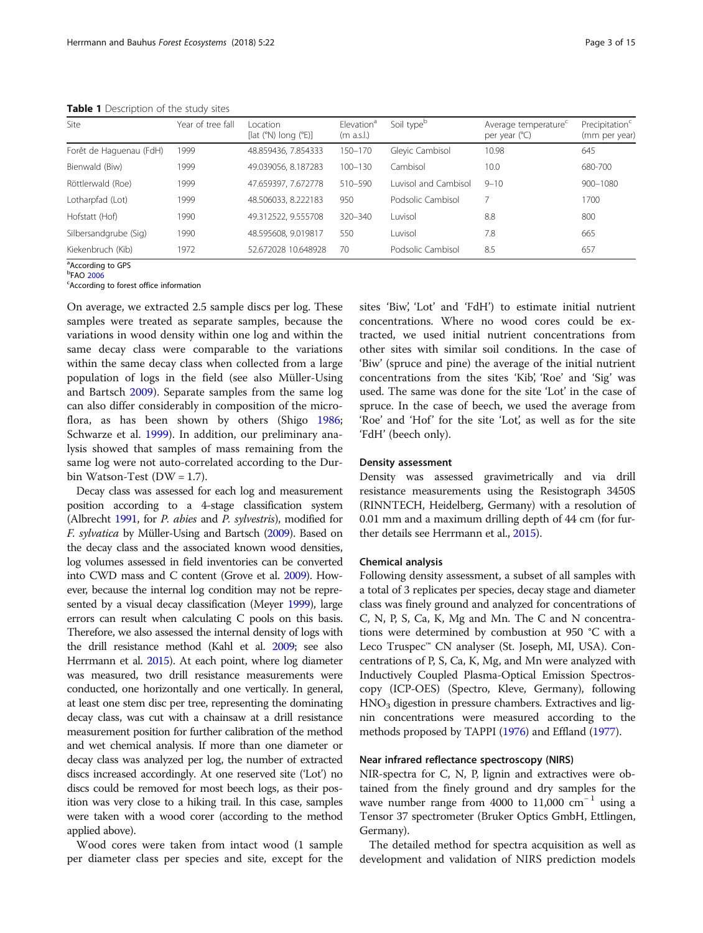| Site                    | Year of tree fall | Location<br>[lat $(°N)$ long $(^{°}E)$ ] | Elevation <sup>a</sup><br>(m a.s.l.) | Soil type <sup>b</sup> | Average temperature<br>per year (°C) | Precipitation <sup>c</sup><br>(mm per year) |
|-------------------------|-------------------|------------------------------------------|--------------------------------------|------------------------|--------------------------------------|---------------------------------------------|
| Forêt de Haguenau (FdH) | 1999              | 48.859436, 7.854333                      | 150-170                              | Glevic Cambisol        | 10.98                                | 645                                         |
| Bienwald (Biw)          | 1999              | 49.039056, 8.187283                      | $100 - 130$                          | Cambisol               | 10.0                                 | 680-700                                     |
| Röttlerwald (Roe)       | 1999              | 47.659397, 7.672778                      | 510-590                              | Luvisol and Cambisol   | $9 - 10$                             | 900-1080                                    |
| Lotharpfad (Lot)        | 1999              | 48.506033, 8.222183                      | 950                                  | Podsolic Cambisol      |                                      | 1700                                        |
| Hofstatt (Hof)          | 1990              | 49.312522, 9.555708                      | 320-340                              | Luvisol                | 8.8                                  | 800                                         |
| Silbersandgrube (Sig)   | 1990              | 48.595608, 9.019817                      | 550                                  | Luvisol                | 7.8                                  | 665                                         |
| Kiekenbruch (Kib)       | 1972              | 52.672028 10.648928                      | 70                                   | Podsolic Cambisol      | 8.5                                  | 657                                         |

<span id="page-2-0"></span>Table 1 Description of the study sites

<sup>a</sup>According to GPS

<sup>b</sup>FAO [2006](#page-13-0) According to forest office information

On average, we extracted 2.5 sample discs per log. These samples were treated as separate samples, because the variations in wood density within one log and within the same decay class were comparable to the variations within the same decay class when collected from a large population of logs in the field (see also Müller-Using and Bartsch [2009\)](#page-14-0). Separate samples from the same log can also differ considerably in composition of the microflora, as has been shown by others (Shigo [1986](#page-14-0); Schwarze et al. [1999\)](#page-14-0). In addition, our preliminary analysis showed that samples of mass remaining from the same log were not auto-correlated according to the Durbin Watson-Test ( $DW = 1.7$ ).

Decay class was assessed for each log and measurement position according to a 4-stage classification system (Albrecht [1991](#page-13-0), for P. abies and P. sylvestris), modified for F. sylvatica by Müller-Using and Bartsch [\(2009](#page-14-0)). Based on the decay class and the associated known wood densities, log volumes assessed in field inventories can be converted into CWD mass and C content (Grove et al. [2009](#page-13-0)). However, because the internal log condition may not be represented by a visual decay classification (Meyer [1999\)](#page-14-0), large errors can result when calculating C pools on this basis. Therefore, we also assessed the internal density of logs with the drill resistance method (Kahl et al. [2009;](#page-14-0) see also Herrmann et al. [2015](#page-14-0)). At each point, where log diameter was measured, two drill resistance measurements were conducted, one horizontally and one vertically. In general, at least one stem disc per tree, representing the dominating decay class, was cut with a chainsaw at a drill resistance measurement position for further calibration of the method and wet chemical analysis. If more than one diameter or decay class was analyzed per log, the number of extracted discs increased accordingly. At one reserved site ('Lot') no discs could be removed for most beech logs, as their position was very close to a hiking trail. In this case, samples were taken with a wood corer (according to the method applied above).

Wood cores were taken from intact wood (1 sample per diameter class per species and site, except for the

sites 'Biw', 'Lot' and 'FdH') to estimate initial nutrient concentrations. Where no wood cores could be extracted, we used initial nutrient concentrations from other sites with similar soil conditions. In the case of 'Biw' (spruce and pine) the average of the initial nutrient concentrations from the sites 'Kib', 'Roe' and 'Sig' was used. The same was done for the site 'Lot' in the case of spruce. In the case of beech, we used the average from 'Roe' and 'Hof' for the site 'Lot', as well as for the site 'FdH' (beech only).

## Density assessment

Density was assessed gravimetrically and via drill resistance measurements using the Resistograph 3450S (RINNTECH, Heidelberg, Germany) with a resolution of 0.01 mm and a maximum drilling depth of 44 cm (for further details see Herrmann et al., [2015](#page-14-0)).

## Chemical analysis

Following density assessment, a subset of all samples with a total of 3 replicates per species, decay stage and diameter class was finely ground and analyzed for concentrations of C, N, P, S, Ca, K, Mg and Mn. The C and N concentrations were determined by combustion at 950 °C with a Leco Truspec™ CN analyser (St. Joseph, MI, USA). Concentrations of P, S, Ca, K, Mg, and Mn were analyzed with Inductively Coupled Plasma-Optical Emission Spectroscopy (ICP-OES) (Spectro, Kleve, Germany), following HNO<sub>3</sub> digestion in pressure chambers. Extractives and lignin concentrations were measured according to the methods proposed by TAPPI [\(1976](#page-14-0)) and Effland [\(1977\)](#page-13-0).

## Near infrared reflectance spectroscopy (NIRS)

NIR-spectra for C, N, P, lignin and extractives were obtained from the finely ground and dry samples for the wave number range from 4000 to 11,000 cm<sup>-1</sup> using a Tensor 37 spectrometer (Bruker Optics GmbH, Ettlingen, Germany).

The detailed method for spectra acquisition as well as development and validation of NIRS prediction models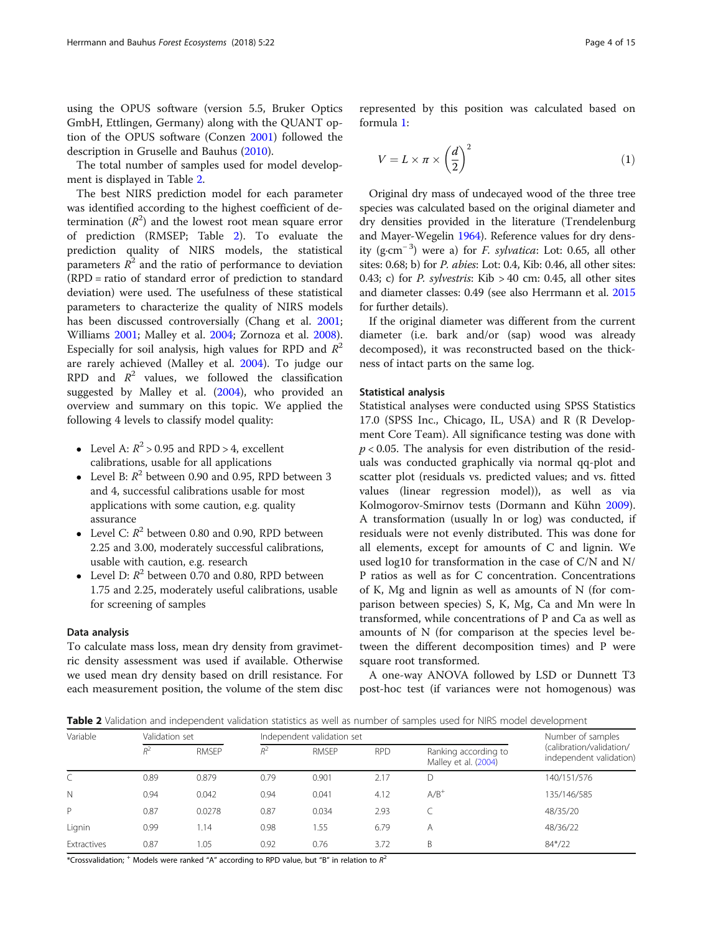<span id="page-3-0"></span>using the OPUS software (version 5.5, Bruker Optics GmbH, Ettlingen, Germany) along with the QUANT option of the OPUS software (Conzen [2001\)](#page-13-0) followed the description in Gruselle and Bauhus [\(2010\)](#page-14-0).

The total number of samples used for model development is displayed in Table 2.

The best NIRS prediction model for each parameter was identified according to the highest coefficient of determination  $(R^2)$  and the lowest root mean square error of prediction (RMSEP; Table 2). To evaluate the prediction quality of NIRS models, the statistical parameters  $R^2$  and the ratio of performance to deviation (RPD = ratio of standard error of prediction to standard deviation) were used. The usefulness of these statistical parameters to characterize the quality of NIRS models has been discussed controversially (Chang et al. [2001](#page-13-0); Williams [2001;](#page-14-0) Malley et al. [2004](#page-14-0); Zornoza et al. [2008](#page-14-0)). Especially for soil analysis, high values for RPD and  $R^2$ are rarely achieved (Malley et al. [2004](#page-14-0)). To judge our RPD and  $R^2$  values, we followed the classification suggested by Malley et al. ([2004\)](#page-14-0), who provided an overview and summary on this topic. We applied the following 4 levels to classify model quality:

- Level A:  $R^2 > 0.95$  and RPD > 4, excellent calibrations, usable for all applications
- Level B:  $R^2$  between 0.90 and 0.95, RPD between 3 and 4, successful calibrations usable for most applications with some caution, e.g. quality assurance
- Level C:  $R^2$  between 0.80 and 0.90, RPD between 2.25 and 3.00, moderately successful calibrations, usable with caution, e.g. research
- Level D:  $R^2$  between 0.70 and 0.80, RPD between 1.75 and 2.25, moderately useful calibrations, usable for screening of samples

# Data analysis

To calculate mass loss, mean dry density from gravimetric density assessment was used if available. Otherwise we used mean dry density based on drill resistance. For each measurement position, the volume of the stem disc

represented by this position was calculated based on formula 1:

$$
V = L \times \pi \times \left(\frac{d}{2}\right)^2 \tag{1}
$$

Original dry mass of undecayed wood of the three tree species was calculated based on the original diameter and dry densities provided in the literature (Trendelenburg and Mayer-Wegelin [1964](#page-14-0)). Reference values for dry density (g·cm<sup>−</sup> <sup>3</sup> ) were a) for F. sylvatica: Lot: 0.65, all other sites: 0.68; b) for P. abies: Lot: 0.4, Kib: 0.46, all other sites: 0.43; c) for *P. sylvestris*: Kib  $> 40$  cm: 0.45, all other sites and diameter classes: 0.49 (see also Herrmann et al. [2015](#page-14-0) for further details).

If the original diameter was different from the current diameter (i.e. bark and/or (sap) wood was already decomposed), it was reconstructed based on the thickness of intact parts on the same log.

# Statistical analysis

Statistical analyses were conducted using SPSS Statistics 17.0 (SPSS Inc., Chicago, IL, USA) and R (R Development Core Team). All significance testing was done with  $p < 0.05$ . The analysis for even distribution of the residuals was conducted graphically via normal qq-plot and scatter plot (residuals vs. predicted values; and vs. fitted values (linear regression model)), as well as via Kolmogorov-Smirnov tests (Dormann and Kühn [2009](#page-13-0)). A transformation (usually ln or log) was conducted, if residuals were not evenly distributed. This was done for all elements, except for amounts of C and lignin. We used log10 for transformation in the case of C/N and N/ P ratios as well as for C concentration. Concentrations of K, Mg and lignin as well as amounts of N (for comparison between species) S, K, Mg, Ca and Mn were ln transformed, while concentrations of P and Ca as well as amounts of N (for comparison at the species level between the different decomposition times) and P were square root transformed.

A one-way ANOVA followed by LSD or Dunnett T3 post-hoc test (if variances were not homogenous) was

Table 2 Validation and independent validation statistics as well as number of samples used for NIRS model development

| Variable    |       | Validation set |       | Independent validation set |            | Number of samples                            |                                                     |
|-------------|-------|----------------|-------|----------------------------|------------|----------------------------------------------|-----------------------------------------------------|
|             | $R^2$ | <b>RMSEP</b>   | $R^2$ | <b>RMSEP</b>               | <b>RPD</b> | Ranking according to<br>Malley et al. (2004) | (calibration/validation/<br>independent validation) |
|             | 0.89  | 0.879          | 0.79  | 0.901                      | 2.17       |                                              | 140/151/576                                         |
| N           | 0.94  | 0.042          | 0.94  | 0.041                      | 4.12       | $A/B^+$                                      | 135/146/585                                         |
| P           | 0.87  | 0.0278         | 0.87  | 0.034                      | 2.93       |                                              | 48/35/20                                            |
| Lignin      | 0.99  | .14            | 0.98  | 1.55                       | 6.79       | A                                            | 48/36/22                                            |
| Extractives | 0.87  | .05            | 0.92  | 0.76                       | 3.72       | B                                            | $84*/22$                                            |

\*Crossvalidation;  $^+$  Models were ranked "A" according to RPD value, but "B" in relation to  $R^2$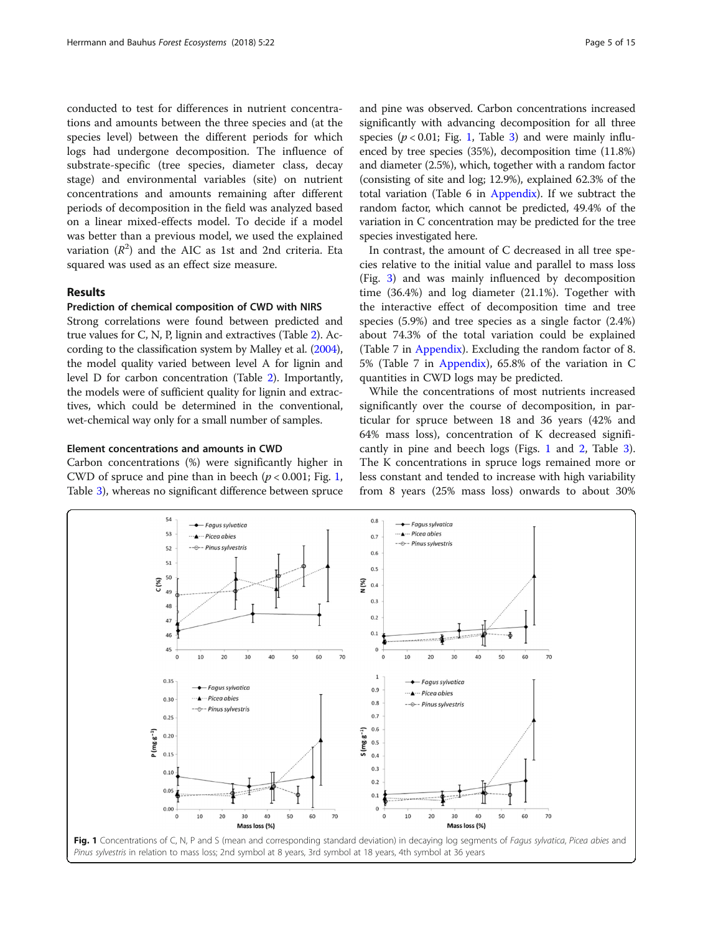<span id="page-4-0"></span>conducted to test for differences in nutrient concentrations and amounts between the three species and (at the species level) between the different periods for which logs had undergone decomposition. The influence of substrate-specific (tree species, diameter class, decay stage) and environmental variables (site) on nutrient concentrations and amounts remaining after different periods of decomposition in the field was analyzed based on a linear mixed-effects model. To decide if a model was better than a previous model, we used the explained variation  $(R^2)$  and the AIC as 1st and 2nd criteria. Eta squared was used as an effect size measure.

# Results

# Prediction of chemical composition of CWD with NIRS

Strong correlations were found between predicted and true values for C, N, P, lignin and extractives (Table [2](#page-3-0)). According to the classification system by Malley et al. [\(2004](#page-14-0)), the model quality varied between level A for lignin and level D for carbon concentration (Table [2](#page-3-0)). Importantly, the models were of sufficient quality for lignin and extractives, which could be determined in the conventional, wet-chemical way only for a small number of samples.

#### Element concentrations and amounts in CWD

Carbon concentrations (%) were significantly higher in CWD of spruce and pine than in beech ( $p < 0.001$ ; Fig. 1, Table [3\)](#page-5-0), whereas no significant difference between spruce

and pine was observed. Carbon concentrations increased significantly with advancing decomposition for all three species ( $p < 0.01$ ; Fig. 1, Table [3](#page-5-0)) and were mainly influenced by tree species (35%), decomposition time (11.8%) and diameter (2.5%), which, together with a random factor (consisting of site and log; 12.9%), explained 62.3% of the total variation (Table 6 in Appendix). If we subtract the random factor, which cannot be predicted, 49.4% of the variation in C concentration may be predicted for the tree species investigated here.

In contrast, the amount of C decreased in all tree species relative to the initial value and parallel to mass loss (Fig. [3\)](#page-7-0) and was mainly influenced by decomposition time (36.4%) and log diameter (21.1%). Together with the interactive effect of decomposition time and tree species (5.9%) and tree species as a single factor (2.4%) about 74.3% of the total variation could be explained (Table 7 in Appendix). Excluding the random factor of 8. 5% (Table 7 in Appendix), 65.8% of the variation in C quantities in CWD logs may be predicted.

While the concentrations of most nutrients increased significantly over the course of decomposition, in particular for spruce between 18 and 36 years (42% and 64% mass loss), concentration of K decreased significantly in pine and beech logs (Figs. 1 and [2,](#page-6-0) Table [3](#page-5-0)). The K concentrations in spruce logs remained more or less constant and tended to increase with high variability from 8 years (25% mass loss) onwards to about 30%

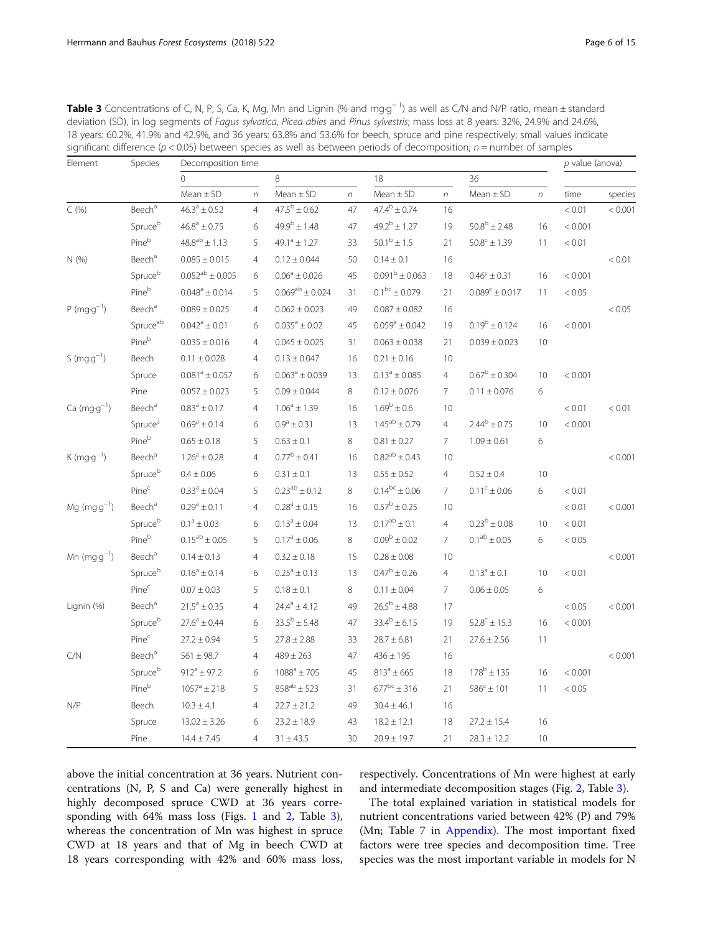| Element                    | Species                  | Decomposition time          |                |                          |            |                           |                 |                            |        | $p$ value (anova) |         |
|----------------------------|--------------------------|-----------------------------|----------------|--------------------------|------------|---------------------------|-----------------|----------------------------|--------|-------------------|---------|
|                            |                          | 0                           |                | 8                        |            | 18                        |                 | 36                         |        |                   |         |
|                            |                          | $Mean \pm SD$               | $\sqrt{n}$     | $Mean \pm SD$            | $\sqrt{n}$ | $Mean \pm SD$             | $\sqrt{n}$      | $Mean \pm SD$              | $\eta$ | time              | species |
| C(% )                      | Beech <sup>a</sup>       | $46.3^a \pm 0.52$           | $\overline{4}$ | $47.5^{\rm b} \pm 0.62$  | 47         | $47.4^b \pm 0.74$         | 16              |                            |        | < 0.01            | < 0.001 |
|                            | Spruceb                  | $46.8^a \pm 0.75$           | 6              | $49.9^{b} \pm 1.48$      | 47         | $49.2^b \pm 1.27$         | 19              | $50.8^b \pm 2.48$          | 16     | < 0.001           |         |
|                            | Pineb                    | $48.8^{ab} \pm 1.13$        | 5              | $49.1^a \pm 1.27$        | 33         | $50.1^{\rm b} \pm 1.5$    | 21              | $50.8^{\circ} \pm 1.39$    | 11     | < 0.01            |         |
| N (%)                      | Beech <sup>a</sup>       | $0.085 \pm 0.015$           | $\overline{4}$ | $0.12 \pm 0.044$         | 50         | $0.14 \pm 0.1$            | 16              |                            |        |                   | < 0.01  |
|                            | Spruceb                  | $0.052^{ab} \pm 0.005$      | 6              | $0.06^{\rm a} \pm 0.026$ | 45         | $0.091^{\rm b} \pm 0.063$ | 18              | $0.46^c \pm 0.31$          | 16     | < 0.001           |         |
|                            | Pineb                    | $0.048^a \pm 0.014$         | 5              | $0.069^{ab} \pm 0.024$   | 31         | $0.1^{bc} \pm 0.079$      | 21              | $0.089^c \pm 0.017$        | 11     | < 0.05            |         |
| $P (mg·g-1)$               | Beech <sup>a</sup>       | $0.089 \pm 0.025$           | $\overline{4}$ | $0.062 \pm 0.023$        | 49         | $0.087 \pm 0.082$         | 16              |                            |        |                   | < 0.05  |
|                            | Spruceab                 | $0.042^a \pm 0.01$          | 6              | $0.035^a \pm 0.02$       | 45         | $0.059^a \pm 0.042$       | 19              | $0.19^b \pm 0.124$         | 16     | < 0.001           |         |
|                            | Pineb                    | $0.035 \pm 0.016$           | $\overline{4}$ | $0.045 \pm 0.025$        | 31         | $0.063 \pm 0.038$         | 21              | $0.039 \pm 0.023$          | 10     |                   |         |
| $S (mg·g-1)$               | Beech                    | $0.11 \pm 0.028$            | $\overline{4}$ | $0.13 \pm 0.047$         | 16         | $0.21 \pm 0.16$           | 10              |                            |        |                   |         |
|                            | Spruce                   | $0.081^a \pm 0.057$         | 6              | $0.063^a \pm 0.039$      | 13         | $0.13^a \pm 0.085$        | $\overline{4}$  | $0.67^b \pm 0.304$         | 10     | < 0.001           |         |
|                            | Pine                     | $0.057 \pm 0.023$           | 5              | $0.09 \pm 0.044$         | 8          | $0.12 \pm 0.076$          | $7^{\circ}$     | $0.11 \pm 0.076$           | 6      |                   |         |
| Ca $(mg·g-1)$              | Beech <sup>a</sup>       | $0.83^a \pm 0.17$           | $\overline{4}$ | $1.06^a \pm 1.39$        | 16         | $1.69^b \pm 0.6$          | 10              |                            |        | < 0.01            | < 0.01  |
|                            | Spruce <sup>a</sup>      | $0.69^a \pm 0.14$           | 6              | $0.9^{\rm a} \pm 0.31$   | 13         | $1.45^{ab} \pm 0.79$      | $\overline{4}$  | $2.44^{\mathrm{b}}\pm0.75$ | 10     | < 0.001           |         |
|                            | Pineb                    | $0.65 \pm 0.18$             | 5              | $0.63 \pm 0.1$           | 8          | $0.81 \pm 0.27$           | $7^{\circ}$     | $1.09 \pm 0.61$            | 6      |                   |         |
| $K (mg·g-1)$               | <b>Beech<sup>a</sup></b> | $1.26^a \pm 0.28$           | $\overline{4}$ | $0.77^{\rm b} \pm 0.41$  | 16         | $0.82^{ab} \pm 0.43$      | 10              |                            |        |                   | < 0.001 |
|                            | Spruceb                  | $0.4 \pm 0.06$              | 6              | $0.31 \pm 0.1$           | 13         | $0.55 \pm 0.52$           | $\overline{4}$  | $0.52 \pm 0.4$             | 10     |                   |         |
|                            | Pinec                    | $0.33^a \pm 0.04$           | 5              | $0.23^{ab} \pm 0.12$     | 8          | $0.14^{bc} \pm 0.06$      | $7^{\circ}$     | $0.11^{\circ} \pm 0.06$    | 6      | < 0.01            |         |
| $Mg$ (mg·g <sup>-1</sup> ) | <b>Beech<sup>a</sup></b> | $0.29^a \pm 0.11$           | $\overline{4}$ | $0.28^a \pm 0.15$        | 16         | $0.57^{\rm b} \pm 0.25$   | 10              |                            |        | < 0.01            | < 0.001 |
|                            | Spruceb                  | $0.1^a \pm 0.03$            | 6              | $0.13^a \pm 0.04$        | 13         | $0.17^{\rm ab} \pm 0.1$   | $\overline{4}$  | $0.23^{\rm b} \pm 0.08$    | 10     | < 0.01            |         |
|                            | Pineb                    | $0.15^{\text{ab}} \pm 0.05$ | 5              | $0.17^a \pm 0.06$        | 8          | $0.09^b \pm 0.02$         | $7\overline{ }$ | $0.1^{\text{ab}} \pm 0.05$ | 6      | < 0.05            |         |
| Mn $(mg·g-1)$              | <b>Beech<sup>a</sup></b> | $0.14 \pm 0.13$             | $\overline{4}$ | $0.32 \pm 0.18$          | 15         | $0.28 \pm 0.08$           | 10              |                            |        |                   | < 0.001 |
|                            | Spruceb                  | $0.16^a \pm 0.14$           | 6              | $0.25^{\rm a} \pm 0.13$  | 13         | $0.47^b \pm 0.26$         | $\overline{4}$  | $0.13^a \pm 0.1$           | 10     | < 0.01            |         |
|                            | Pinec                    | $0.07 \pm 0.03$             | 5              | $0.18 \pm 0.1$           | 8          | $0.11 \pm 0.04$           | $7^{\circ}$     | $0.06 \pm 0.05$            | 6      |                   |         |
| Lignin (%)                 | <b>Beech<sup>a</sup></b> | $21.5^a \pm 0.35$           | $\overline{4}$ | $24.4^a \pm 4.12$        | 49         | $26.5^b \pm 4.88$         | 17              |                            |        | < 0.05            | < 0.001 |
|                            | Spruceb                  | $27.6^a \pm 0.44$           | 6              | $33.5^{\rm b} \pm 5.48$  | 47         | $33.4^b \pm 6.15$         | 19              | $52.8^{\circ} \pm 15.3$    | 16     | < 0.001           |         |
|                            | Pinec                    | $27.2 \pm 0.94$             | 5              | $27.8 \pm 2.88$          | 33         | $28.7 \pm 6.81$           | 21              | $27.6 \pm 2.56$            | 11     |                   |         |
| C/N                        | Beech <sup>a</sup>       | $561 \pm 98.7$              | $\overline{4}$ | $489 \pm 263$            | 47         | $436 \pm 195$             | 16              |                            |        |                   | < 0.001 |
|                            | Spruceb                  | $912^a \pm 97.2$            | 6              | $1088^{\rm a} \pm 705$   | 45         | $813^a \pm 665$           | 18              | $178^b \pm 135$            | 16     | < 0.001           |         |
|                            | Pineb                    | $1057^a \pm 218$            | 5              | $858^{ab} \pm 523$       | 31         | $677^{bc}$ ± 316          | 21              | $586^{\circ} \pm 101$      | 11     | < 0.05            |         |
| N/P                        | Beech                    | $10.3 \pm 4.1$              | $\overline{4}$ | $22.7 \pm 21.2$          | 49         | $30.4 \pm 46.1$           | 16              |                            |        |                   |         |
|                            | Spruce                   | $13.02 \pm 3.26$            | 6              | $23.2 \pm 18.9$          | 43         | $18.2 \pm 12.1$           | 18              | $27.2 \pm 15.4$            | 16     |                   |         |
|                            | Pine                     | $14.4 \pm 7.45$             | $\overline{4}$ | $31 \pm 43.5$            | 30         | $20.9 \pm 19.7$           | 21              | $28.3 \pm 12.2$            | 10     |                   |         |

<span id="page-5-0"></span>Table 3 Concentrations of C, N, P, S, Ca, K, Mg, Mn and Lignin (% and mg⋅g<sup>−1</sup>) as well as C/N and N/P ratio, mean±standard deviation (SD), in log segments of Fagus sylvatica, Picea abies and Pinus sylvestris; mass loss at 8 years: 32%, 24.9% and 24.6%, 18 years: 60.2%, 41.9% and 42.9%, and 36 years: 63.8% and 53.6% for beech, spruce and pine respectively; small values indicate significant difference ( $p < 0.05$ ) between species as well as between periods of decomposition;  $n =$  number of samples

above the initial concentration at 36 years. Nutrient concentrations (N, P, S and Ca) were generally highest in highly decomposed spruce CWD at 36 years corresponding with 64% mass loss (Figs. [1](#page-4-0) and [2](#page-6-0), Table 3), whereas the concentration of Mn was highest in spruce CWD at 18 years and that of Mg in beech CWD at 18 years corresponding with 42% and 60% mass loss,

respectively. Concentrations of Mn were highest at early and intermediate decomposition stages (Fig. [2](#page-6-0), Table 3).

The total explained variation in statistical models for nutrient concentrations varied between 42% (P) and 79% (Mn; Table 7 in Appendix). The most important fixed factors were tree species and decomposition time. Tree species was the most important variable in models for N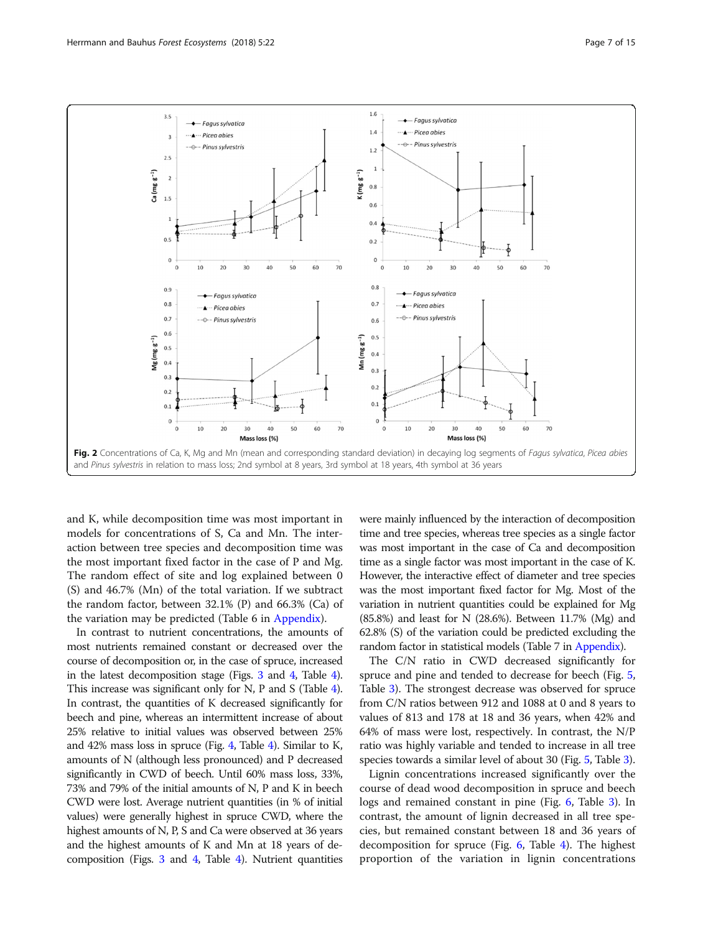<span id="page-6-0"></span>

and K, while decomposition time was most important in models for concentrations of S, Ca and Mn. The interaction between tree species and decomposition time was the most important fixed factor in the case of P and Mg. The random effect of site and log explained between 0 (S) and 46.7% (Mn) of the total variation. If we subtract the random factor, between 32.1% (P) and 66.3% (Ca) of the variation may be predicted (Table 6 in Appendix).

In contrast to nutrient concentrations, the amounts of most nutrients remained constant or decreased over the course of decomposition or, in the case of spruce, increased in the latest decomposition stage (Figs. [3](#page-7-0) and [4](#page-7-0), Table [4](#page-8-0)). This increase was significant only for N, P and S (Table [4](#page-8-0)). In contrast, the quantities of K decreased significantly for beech and pine, whereas an intermittent increase of about 25% relative to initial values was observed between 25% and 42% mass loss in spruce (Fig. [4](#page-7-0), Table [4\)](#page-8-0). Similar to K, amounts of N (although less pronounced) and P decreased significantly in CWD of beech. Until 60% mass loss, 33%, 73% and 79% of the initial amounts of N, P and K in beech CWD were lost. Average nutrient quantities (in % of initial values) were generally highest in spruce CWD, where the highest amounts of N, P, S and Ca were observed at 36 years and the highest amounts of K and Mn at 18 years of decomposition (Figs. [3](#page-7-0) and [4,](#page-7-0) Table [4](#page-8-0)). Nutrient quantities

were mainly influenced by the interaction of decomposition time and tree species, whereas tree species as a single factor was most important in the case of Ca and decomposition time as a single factor was most important in the case of K. However, the interactive effect of diameter and tree species was the most important fixed factor for Mg. Most of the variation in nutrient quantities could be explained for Mg (85.8%) and least for N (28.6%). Between 11.7% (Mg) and 62.8% (S) of the variation could be predicted excluding the random factor in statistical models (Table 7 in Appendix).

The C/N ratio in CWD decreased significantly for spruce and pine and tended to decrease for beech (Fig. [5](#page-9-0), Table [3\)](#page-5-0). The strongest decrease was observed for spruce from C/N ratios between 912 and 1088 at 0 and 8 years to values of 813 and 178 at 18 and 36 years, when 42% and 64% of mass were lost, respectively. In contrast, the N/P ratio was highly variable and tended to increase in all tree species towards a similar level of about 30 (Fig. [5,](#page-9-0) Table [3](#page-5-0)).

Lignin concentrations increased significantly over the course of dead wood decomposition in spruce and beech logs and remained constant in pine (Fig. [6](#page-9-0), Table [3\)](#page-5-0). In contrast, the amount of lignin decreased in all tree species, but remained constant between 18 and 36 years of decomposition for spruce (Fig. [6,](#page-9-0) Table [4\)](#page-8-0). The highest proportion of the variation in lignin concentrations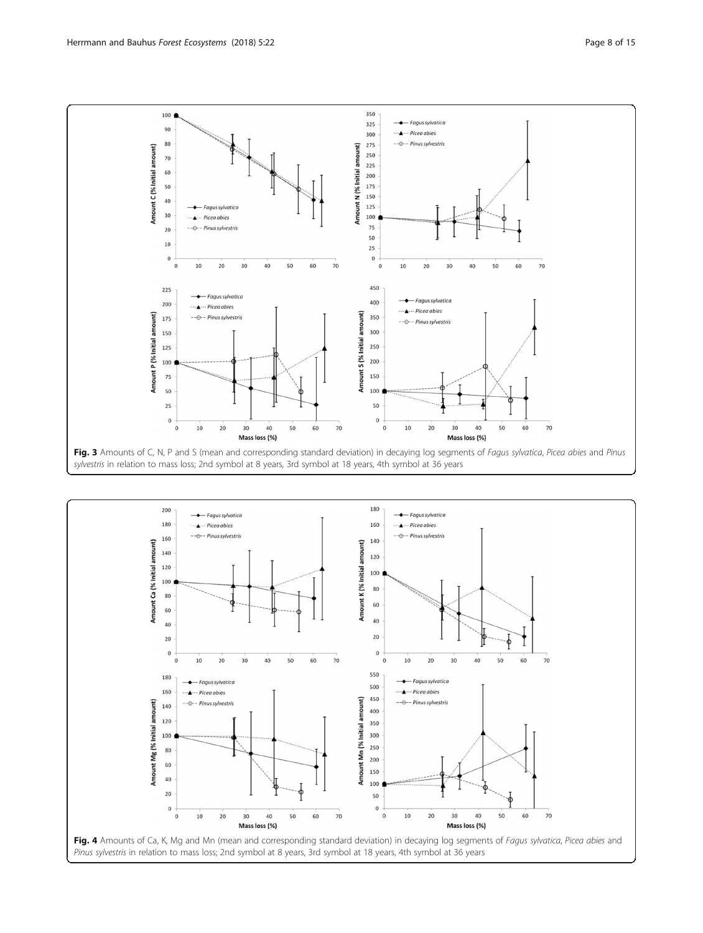<span id="page-7-0"></span>



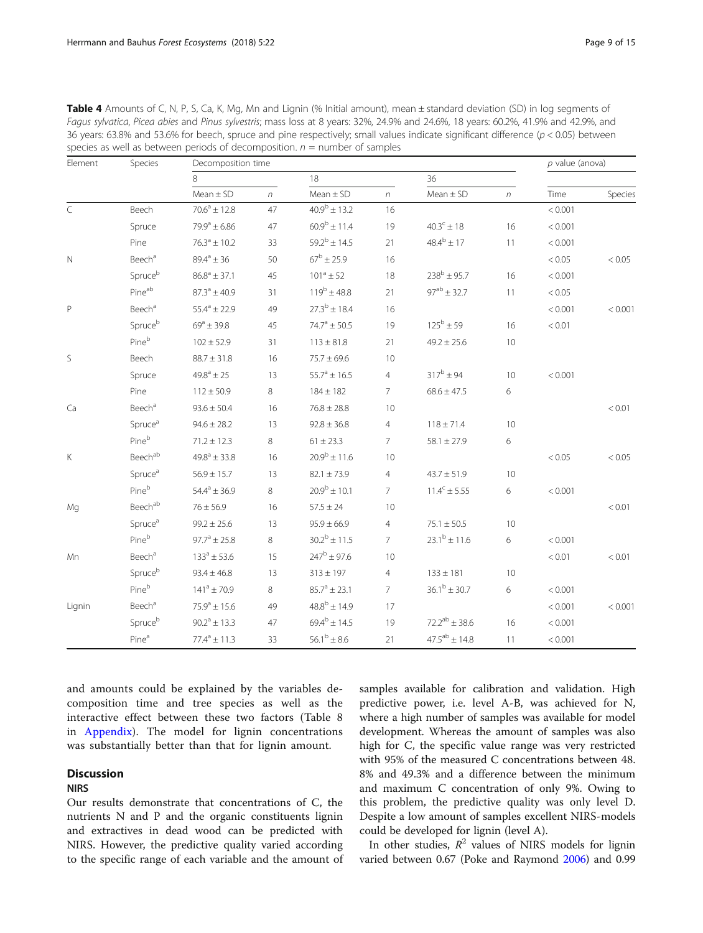| Element     | Species                  |                         | Decomposition time |                            |                |                              |                  |         |         |
|-------------|--------------------------|-------------------------|--------------------|----------------------------|----------------|------------------------------|------------------|---------|---------|
|             |                          | 8                       |                    | 18                         |                | 36                           |                  |         |         |
|             |                          | $Mean \pm SD$           | $\sqrt{n}$         | $Mean \pm SD$              | $\sqrt{n}$     | $Mean \pm SD$                | $\boldsymbol{n}$ | Time    | Species |
| $\subset$   | Beech                    | $70.6^a \pm 12.8$       | 47                 | $40.9^b \pm 13.2$          | 16             |                              |                  | < 0.001 |         |
|             | Spruce                   | $79.9^a \pm 6.86$       | 47                 | $60.9^b \pm 11.4$          | 19             | $40.3^{\circ} \pm 18$        | 16               | < 0.001 |         |
|             | Pine                     | $76.3^a \pm 10.2$       | 33                 | $59.2^b \pm 14.5$          | 21             | $48.4^{\rm b} \pm 17$        | 11               | < 0.001 |         |
| $\mathbb N$ | Beech <sup>a</sup>       | $89.4^{\rm a} \pm 36$   | 50                 | $67^{\rm b}$ ± 25.9        | 16             |                              |                  | < 0.05  | < 0.05  |
|             | Spruceb                  | $86.8^{\rm a} \pm 37.1$ | 45                 | $101^a \pm 52$             | 18             | $238^b \pm 95.7$             | 16               | < 0.001 |         |
|             | Pineab                   | $87.3^{\circ} \pm 40.9$ | 31                 | $119^b \pm 48.8$           | 21             | $97^{ab} \pm 32.7$           | 11               | < 0.05  |         |
| $\mathsf P$ | <b>Beech<sup>a</sup></b> | $55.4^a \pm 22.9$       | 49                 | $27.3^b \pm 18.4$          | 16             |                              |                  | < 0.001 | < 0.001 |
|             | Spruceb                  | $69^a \pm 39.8$         | 45                 | $74.7^a \pm 50.5$          | 19             | $125^b \pm 59$               | 16               | < 0.01  |         |
|             | Pineb                    | $102 \pm 52.9$          | 31                 | $113 \pm 81.8$             | 21             | $49.2 \pm 25.6$              | 10               |         |         |
| S           | Beech                    | $88.7 \pm 31.8$         | 16                 | $75.7 \pm 69.6$            | 10             |                              |                  |         |         |
|             | Spruce                   | $49.8^{\rm a} \pm 25$   | 13                 | $55.7^a \pm 16.5$          | $\overline{4}$ | $317^b \pm 94$               | $10$             | < 0.001 |         |
|             | Pine                     | $112 \pm 50.9$          | 8                  | $184 \pm 182$              | $\overline{7}$ | $68.6 \pm 47.5$              | 6                |         |         |
| Ca          | <b>Beech<sup>a</sup></b> | $93.6 \pm 50.4$         | 16                 | $76.8 \pm 28.8$            | 10             |                              |                  |         | < 0.01  |
|             | Spruce <sup>a</sup>      | $94.6 \pm 28.2$         | 13                 | $92.8 \pm 36.8$            | $\overline{4}$ | $118 \pm 71.4$               | 10               |         |         |
|             | Pineb                    | $71.2 \pm 12.3$         | 8                  | $61 \pm 23.3$              | $7^{\circ}$    | $58.1 \pm 27.9$              | 6                |         |         |
| К           | Beech <sup>ab</sup>      | $49.8^{\circ} \pm 33.8$ | 16                 | $20.9^b \pm 11.6$          | 10             |                              |                  | < 0.05  | < 0.05  |
|             | Spruce <sup>a</sup>      | $56.9 \pm 15.7$         | 13                 | $82.1 \pm 73.9$            | $\overline{4}$ | $43.7 \pm 51.9$              | 10               |         |         |
|             | Pineb                    | $54.4^a \pm 36.9$       | 8                  | $20.9^b \pm 10.1$          | $\overline{7}$ | $11.4^c \pm 5.55$            | 6                | < 0.001 |         |
| Mg          | Beech <sup>ab</sup>      | $76 \pm 56.9$           | 16                 | $57.5 \pm 24$              | 10             |                              |                  |         | < 0.01  |
|             | Spruce <sup>a</sup>      | $99.2 \pm 25.6$         | 13                 | $95.9 \pm 66.9$            | $\overline{4}$ | $75.1 \pm 50.5$              | 10               |         |         |
|             | Pineb                    | $97.7^a \pm 25.8$       | 8                  | $30.2^b \pm 11.5$          | $\overline{7}$ | $23.1^b \pm 11.6$            | 6                | < 0.001 |         |
| Mn          | <b>Beech<sup>a</sup></b> | $133^a \pm 53.6$        | 15                 | $247^b \pm 97.6$           | 10             |                              |                  | < 0.01  | < 0.01  |
|             | Spruceb                  | $93.4 \pm 46.8$         | 13                 | $313 \pm 197$              | $\overline{4}$ | $133 \pm 181$                | 10               |         |         |
|             | Pineb                    | $141^a \pm 70.9$        | 8                  | $85.7^a \pm 23.1$          | 7 <sup>7</sup> | $36.1^{\mathrm{b}} \pm 30.7$ | 6                | < 0.001 |         |
| Lignin      | Beech <sup>a</sup>       | $75.9^a \pm 15.6$       | 49                 | $48.8^{\text{b}} \pm 14.9$ | 17             |                              |                  | < 0.001 | < 0.001 |
|             | Spruceb                  | $90.2^a \pm 13.3$       | 47                 | $69.4^b \pm 14.5$          | 19             | $72.2^{ab} \pm 38.6$         | 16               | < 0.001 |         |
|             | Pine <sup>a</sup>        | $77.4^a \pm 11.3$       | 33                 | $56.1^b \pm 8.6$           | 21             | $47.5^{ab}$ ± 14.8           | 11               | < 0.001 |         |

<span id="page-8-0"></span>Table 4 Amounts of C, N, P, S, Ca, K, Mg, Mn and Lignin (% Initial amount), mean ± standard deviation (SD) in log segments of Fagus sylvatica, Picea abies and Pinus sylvestris; mass loss at 8 years: 32%, 24.9% and 24.6%, 18 years: 60.2%, 41.9% and 42.9%, and 36 years: 63.8% and 53.6% for beech, spruce and pine respectively; small values indicate significant difference (p < 0.05) between species as well as between periods of decomposition.  $n =$  number of samples

and amounts could be explained by the variables decomposition time and tree species as well as the interactive effect between these two factors (Table 8 in Appendix). The model for lignin concentrations was substantially better than that for lignin amount.

# **Discussion**

# NIRS

Our results demonstrate that concentrations of C, the nutrients N and P and the organic constituents lignin and extractives in dead wood can be predicted with NIRS. However, the predictive quality varied according to the specific range of each variable and the amount of

samples available for calibration and validation. High predictive power, i.e. level A-B, was achieved for N, where a high number of samples was available for model development. Whereas the amount of samples was also high for C, the specific value range was very restricted with 95% of the measured C concentrations between 48. 8% and 49.3% and a difference between the minimum and maximum C concentration of only 9%. Owing to this problem, the predictive quality was only level D. Despite a low amount of samples excellent NIRS-models could be developed for lignin (level A).

In other studies,  $R^2$  values of NIRS models for lignin varied between 0.67 (Poke and Raymond [2006](#page-14-0)) and 0.99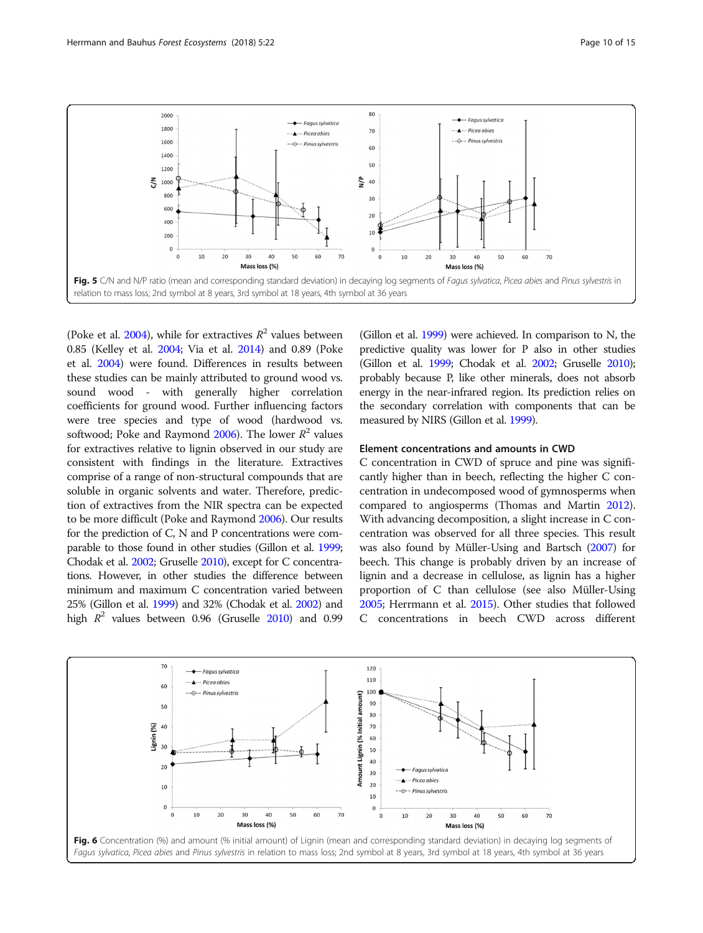<span id="page-9-0"></span>

(Poke et al. [2004](#page-14-0)), while for extractives  $R^2$  values between 0.85 (Kelley et al. [2004;](#page-14-0) Via et al. [2014\)](#page-14-0) and 0.89 (Poke et al. [2004\)](#page-14-0) were found. Differences in results between these studies can be mainly attributed to ground wood vs. sound wood - with generally higher correlation coefficients for ground wood. Further influencing factors were tree species and type of wood (hardwood vs. softwood; Poke and Raymond [2006](#page-14-0)). The lower  $R^2$  values for extractives relative to lignin observed in our study are consistent with findings in the literature. Extractives comprise of a range of non-structural compounds that are soluble in organic solvents and water. Therefore, prediction of extractives from the NIR spectra can be expected to be more difficult (Poke and Raymond [2006\)](#page-14-0). Our results for the prediction of C, N and P concentrations were comparable to those found in other studies (Gillon et al. [1999](#page-13-0); Chodak et al. [2002](#page-13-0); Gruselle [2010](#page-14-0)), except for C concentrations. However, in other studies the difference between minimum and maximum C concentration varied between 25% (Gillon et al. [1999](#page-13-0)) and 32% (Chodak et al. [2002\)](#page-13-0) and high  $R^2$  values between 0.96 (Gruselle [2010\)](#page-14-0) and 0.99 (Gillon et al. [1999\)](#page-13-0) were achieved. In comparison to N, the predictive quality was lower for P also in other studies (Gillon et al. [1999](#page-13-0); Chodak et al. [2002;](#page-13-0) Gruselle [2010](#page-14-0)); probably because P, like other minerals, does not absorb energy in the near-infrared region. Its prediction relies on the secondary correlation with components that can be measured by NIRS (Gillon et al. [1999\)](#page-13-0).

## Element concentrations and amounts in CWD

C concentration in CWD of spruce and pine was significantly higher than in beech, reflecting the higher C concentration in undecomposed wood of gymnosperms when compared to angiosperms (Thomas and Martin [2012](#page-14-0)). With advancing decomposition, a slight increase in C concentration was observed for all three species. This result was also found by Müller-Using and Bartsch [\(2007\)](#page-14-0) for beech. This change is probably driven by an increase of lignin and a decrease in cellulose, as lignin has a higher proportion of C than cellulose (see also Müller-Using [2005](#page-14-0); Herrmann et al. [2015\)](#page-14-0). Other studies that followed C concentrations in beech CWD across different

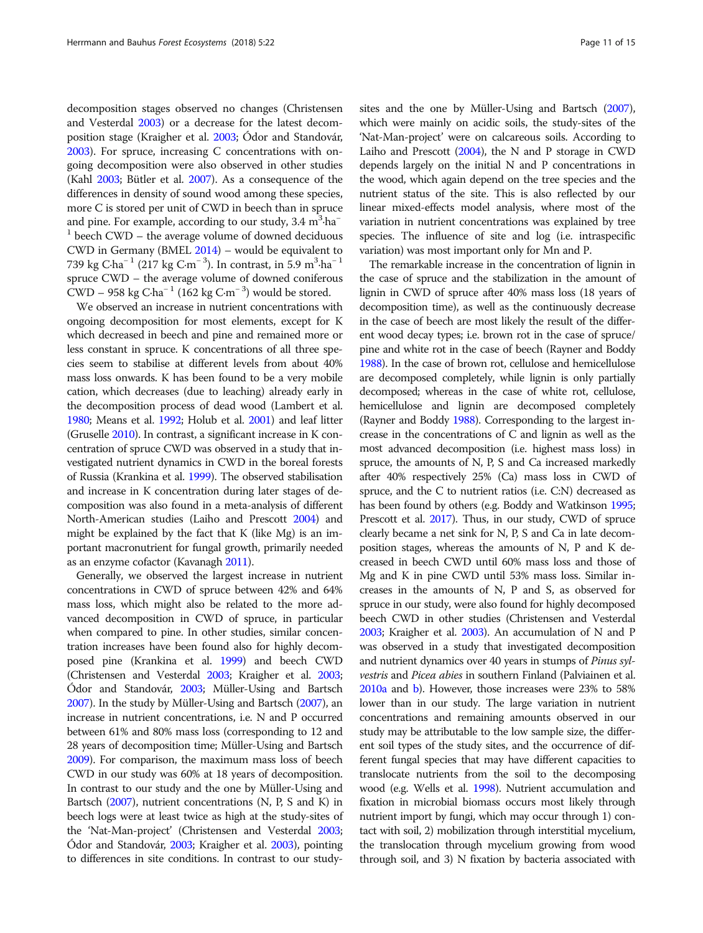decomposition stages observed no changes (Christensen and Vesterdal [2003](#page-13-0)) or a decrease for the latest decomposition stage (Kraigher et al. [2003](#page-14-0); Ódor and Standovár, [2003\)](#page-14-0). For spruce, increasing C concentrations with ongoing decomposition were also observed in other studies (Kahl [2003](#page-14-0); Bütler et al. [2007](#page-13-0)). As a consequence of the differences in density of sound wood among these species, more C is stored per unit of CWD in beech than in spruce and pine. For example, according to our study, 3.4 m<sup>3</sup>·ha<sup>-</sup>  $1$  beech CWD – the average volume of downed deciduous CWD in Germany (BMEL [2014](#page-13-0)) – would be equivalent to 739 kg C⋅ha<sup>- 1</sup> (217 kg C⋅m<sup>- 3</sup>). In contrast, in 5.9 m<sup>3</sup>⋅ha<sup>- 1</sup> spruce CWD – the average volume of downed coniferous CWD – 958 kg C⋅ha<sup>-1</sup> (162 kg C⋅m<sup>-3</sup>) would be stored.

We observed an increase in nutrient concentrations with ongoing decomposition for most elements, except for K which decreased in beech and pine and remained more or less constant in spruce. K concentrations of all three species seem to stabilise at different levels from about 40% mass loss onwards. K has been found to be a very mobile cation, which decreases (due to leaching) already early in the decomposition process of dead wood (Lambert et al. [1980;](#page-14-0) Means et al. [1992](#page-14-0); Holub et al. [2001\)](#page-14-0) and leaf litter (Gruselle [2010](#page-14-0)). In contrast, a significant increase in K concentration of spruce CWD was observed in a study that investigated nutrient dynamics in CWD in the boreal forests of Russia (Krankina et al. [1999\)](#page-14-0). The observed stabilisation and increase in K concentration during later stages of decomposition was also found in a meta-analysis of different North-American studies (Laiho and Prescott [2004\)](#page-14-0) and might be explained by the fact that K (like Mg) is an important macronutrient for fungal growth, primarily needed as an enzyme cofactor (Kavanagh [2011](#page-14-0)).

Generally, we observed the largest increase in nutrient concentrations in CWD of spruce between 42% and 64% mass loss, which might also be related to the more advanced decomposition in CWD of spruce, in particular when compared to pine. In other studies, similar concentration increases have been found also for highly decomposed pine (Krankina et al. [1999\)](#page-14-0) and beech CWD (Christensen and Vesterdal [2003](#page-13-0); Kraigher et al. [2003](#page-14-0); Ódor and Standovár, [2003;](#page-14-0) Müller-Using and Bartsch [2007\)](#page-14-0). In the study by Müller-Using and Bartsch [\(2007](#page-14-0)), an increase in nutrient concentrations, i.e. N and P occurred between 61% and 80% mass loss (corresponding to 12 and 28 years of decomposition time; Müller-Using and Bartsch [2009\)](#page-14-0). For comparison, the maximum mass loss of beech CWD in our study was 60% at 18 years of decomposition. In contrast to our study and the one by Müller-Using and Bartsch [\(2007\)](#page-14-0), nutrient concentrations (N, P, S and K) in beech logs were at least twice as high at the study-sites of the 'Nat-Man-project' (Christensen and Vesterdal [2003](#page-13-0); Ódor and Standovár, [2003](#page-14-0); Kraigher et al. [2003\)](#page-14-0), pointing to differences in site conditions. In contrast to our studysites and the one by Müller-Using and Bartsch [\(2007](#page-14-0)), which were mainly on acidic soils, the study-sites of the 'Nat-Man-project' were on calcareous soils. According to Laiho and Prescott [\(2004](#page-14-0)), the N and P storage in CWD depends largely on the initial N and P concentrations in the wood, which again depend on the tree species and the nutrient status of the site. This is also reflected by our linear mixed-effects model analysis, where most of the variation in nutrient concentrations was explained by tree species. The influence of site and log (i.e. intraspecific variation) was most important only for Mn and P.

The remarkable increase in the concentration of lignin in the case of spruce and the stabilization in the amount of lignin in CWD of spruce after 40% mass loss (18 years of decomposition time), as well as the continuously decrease in the case of beech are most likely the result of the different wood decay types; i.e. brown rot in the case of spruce/ pine and white rot in the case of beech (Rayner and Boddy [1988\)](#page-14-0). In the case of brown rot, cellulose and hemicellulose are decomposed completely, while lignin is only partially decomposed; whereas in the case of white rot, cellulose, hemicellulose and lignin are decomposed completely (Rayner and Boddy [1988\)](#page-14-0). Corresponding to the largest increase in the concentrations of C and lignin as well as the most advanced decomposition (i.e. highest mass loss) in spruce, the amounts of N, P, S and Ca increased markedly after 40% respectively 25% (Ca) mass loss in CWD of spruce, and the C to nutrient ratios (i.e. C:N) decreased as has been found by others (e.g. Boddy and Watkinson [1995](#page-13-0); Prescott et al. [2017\)](#page-14-0). Thus, in our study, CWD of spruce clearly became a net sink for N, P, S and Ca in late decomposition stages, whereas the amounts of N, P and K decreased in beech CWD until 60% mass loss and those of Mg and K in pine CWD until 53% mass loss. Similar increases in the amounts of N, P and S, as observed for spruce in our study, were also found for highly decomposed beech CWD in other studies (Christensen and Vesterdal [2003;](#page-13-0) Kraigher et al. [2003\)](#page-14-0). An accumulation of N and P was observed in a study that investigated decomposition and nutrient dynamics over 40 years in stumps of Pinus sylvestris and Picea abies in southern Finland (Palviainen et al. [2010a](#page-14-0) and [b\)](#page-14-0). However, those increases were 23% to 58% lower than in our study. The large variation in nutrient concentrations and remaining amounts observed in our study may be attributable to the low sample size, the different soil types of the study sites, and the occurrence of different fungal species that may have different capacities to translocate nutrients from the soil to the decomposing wood (e.g. Wells et al. [1998\)](#page-14-0). Nutrient accumulation and fixation in microbial biomass occurs most likely through nutrient import by fungi, which may occur through 1) contact with soil, 2) mobilization through interstitial mycelium, the translocation through mycelium growing from wood through soil, and 3) N fixation by bacteria associated with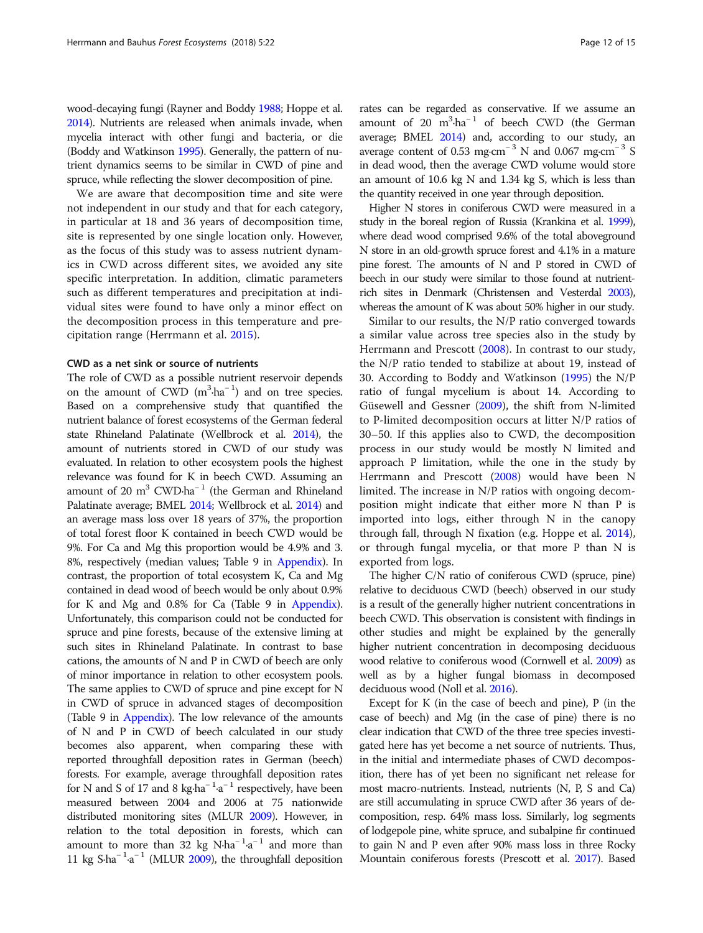wood-decaying fungi (Rayner and Boddy [1988;](#page-14-0) Hoppe et al. [2014\)](#page-14-0). Nutrients are released when animals invade, when mycelia interact with other fungi and bacteria, or die (Boddy and Watkinson [1995\)](#page-13-0). Generally, the pattern of nutrient dynamics seems to be similar in CWD of pine and spruce, while reflecting the slower decomposition of pine.

We are aware that decomposition time and site were not independent in our study and that for each category, in particular at 18 and 36 years of decomposition time, site is represented by one single location only. However, as the focus of this study was to assess nutrient dynamics in CWD across different sites, we avoided any site specific interpretation. In addition, climatic parameters such as different temperatures and precipitation at individual sites were found to have only a minor effect on the decomposition process in this temperature and precipitation range (Herrmann et al. [2015\)](#page-14-0).

#### CWD as a net sink or source of nutrients

The role of CWD as a possible nutrient reservoir depends on the amount of CWD  $(m^3 \cdot ha^{-1})$  and on tree species. Based on a comprehensive study that quantified the nutrient balance of forest ecosystems of the German federal state Rhineland Palatinate (Wellbrock et al. [2014](#page-14-0)), the amount of nutrients stored in CWD of our study was evaluated. In relation to other ecosystem pools the highest relevance was found for K in beech CWD. Assuming an amount of 20 m<sup>3</sup> CWD⋅ha<sup>-1</sup> (the German and Rhineland Palatinate average; BMEL [2014](#page-13-0); Wellbrock et al. [2014\)](#page-14-0) and an average mass loss over 18 years of 37%, the proportion of total forest floor K contained in beech CWD would be 9%. For Ca and Mg this proportion would be 4.9% and 3. 8%, respectively (median values; Table 9 in Appendix). In contrast, the proportion of total ecosystem K, Ca and Mg contained in dead wood of beech would be only about 0.9% for K and Mg and 0.8% for Ca (Table 9 in Appendix). Unfortunately, this comparison could not be conducted for spruce and pine forests, because of the extensive liming at such sites in Rhineland Palatinate. In contrast to base cations, the amounts of N and P in CWD of beech are only of minor importance in relation to other ecosystem pools. The same applies to CWD of spruce and pine except for N in CWD of spruce in advanced stages of decomposition (Table 9 in Appendix). The low relevance of the amounts of N and P in CWD of beech calculated in our study becomes also apparent, when comparing these with reported throughfall deposition rates in German (beech) forests. For example, average throughfall deposition rates for N and S of 17 and 8 kg⋅ha<sup>-1</sup>⋅a<sup>-1</sup> respectively, have been measured between 2004 and 2006 at 75 nationwide distributed monitoring sites (MLUR [2009](#page-14-0)). However, in relation to the total deposition in forests, which can amount to more than 32 kg N⋅ha<sup>-1</sup>⋅a<sup>-1</sup> and more than 11 kg S⋅ha<sup>-1</sup>⋅a<sup>-1</sup> (MLUR [2009\)](#page-14-0), the throughfall deposition

rates can be regarded as conservative. If we assume an amount of 20  $m^3$ ·ha<sup>-1</sup> of beech CWD (the German average; BMEL [2014\)](#page-13-0) and, according to our study, an average content of 0.53 mg⋅cm<sup>-3</sup> N and 0.067 mg⋅cm<sup>-3</sup> S in dead wood, then the average CWD volume would store an amount of 10.6 kg N and 1.34 kg S, which is less than the quantity received in one year through deposition.

Higher N stores in coniferous CWD were measured in a study in the boreal region of Russia (Krankina et al. [1999\)](#page-14-0), where dead wood comprised 9.6% of the total aboveground N store in an old-growth spruce forest and 4.1% in a mature pine forest. The amounts of N and P stored in CWD of beech in our study were similar to those found at nutrientrich sites in Denmark (Christensen and Vesterdal [2003\)](#page-13-0), whereas the amount of K was about 50% higher in our study.

Similar to our results, the N/P ratio converged towards a similar value across tree species also in the study by Herrmann and Prescott ([2008](#page-14-0)). In contrast to our study, the N/P ratio tended to stabilize at about 19, instead of 30. According to Boddy and Watkinson ([1995](#page-13-0)) the N/P ratio of fungal mycelium is about 14. According to Güsewell and Gessner ([2009\)](#page-14-0), the shift from N-limited to P-limited decomposition occurs at litter N/P ratios of 30–50. If this applies also to CWD, the decomposition process in our study would be mostly N limited and approach P limitation, while the one in the study by Herrmann and Prescott ([2008](#page-14-0)) would have been N limited. The increase in N/P ratios with ongoing decomposition might indicate that either more N than P is imported into logs, either through N in the canopy through fall, through N fixation (e.g. Hoppe et al. [2014](#page-14-0)), or through fungal mycelia, or that more P than N is exported from logs.

The higher C/N ratio of coniferous CWD (spruce, pine) relative to deciduous CWD (beech) observed in our study is a result of the generally higher nutrient concentrations in beech CWD. This observation is consistent with findings in other studies and might be explained by the generally higher nutrient concentration in decomposing deciduous wood relative to coniferous wood (Cornwell et al. [2009](#page-13-0)) as well as by a higher fungal biomass in decomposed deciduous wood (Noll et al. [2016\)](#page-14-0).

Except for K (in the case of beech and pine), P (in the case of beech) and Mg (in the case of pine) there is no clear indication that CWD of the three tree species investigated here has yet become a net source of nutrients. Thus, in the initial and intermediate phases of CWD decomposition, there has of yet been no significant net release for most macro-nutrients. Instead, nutrients (N, P, S and Ca) are still accumulating in spruce CWD after 36 years of decomposition, resp. 64% mass loss. Similarly, log segments of lodgepole pine, white spruce, and subalpine fir continued to gain N and P even after 90% mass loss in three Rocky Mountain coniferous forests (Prescott et al. [2017](#page-14-0)). Based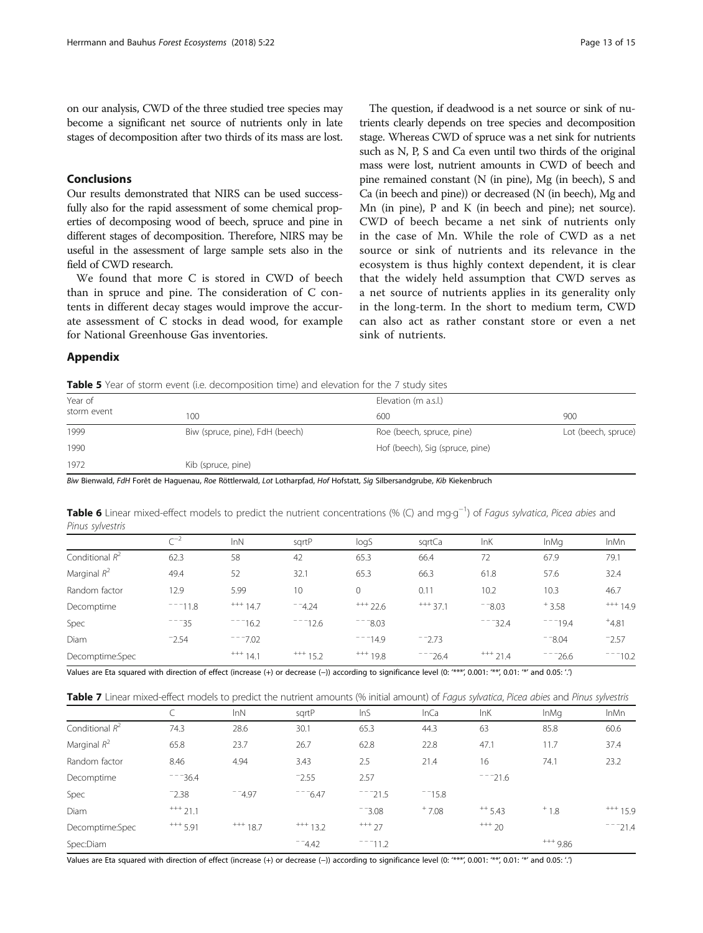on our analysis, CWD of the three studied tree species may become a significant net source of nutrients only in late stages of decomposition after two thirds of its mass are lost.

# Conclusions

Our results demonstrated that NIRS can be used successfully also for the rapid assessment of some chemical properties of decomposing wood of beech, spruce and pine in different stages of decomposition. Therefore, NIRS may be useful in the assessment of large sample sets also in the field of CWD research.

We found that more C is stored in CWD of beech than in spruce and pine. The consideration of C contents in different decay stages would improve the accurate assessment of C stocks in dead wood, for example for National Greenhouse Gas inventories.

The question, if deadwood is a net source or sink of nutrients clearly depends on tree species and decomposition stage. Whereas CWD of spruce was a net sink for nutrients such as N, P, S and Ca even until two thirds of the original mass were lost, nutrient amounts in CWD of beech and pine remained constant (N (in pine), Mg (in beech), S and Ca (in beech and pine)) or decreased (N (in beech), Mg and Mn (in pine), P and K (in beech and pine); net source). CWD of beech became a net sink of nutrients only in the case of Mn. While the role of CWD as a net source or sink of nutrients and its relevance in the ecosystem is thus highly context dependent, it is clear that the widely held assumption that CWD serves as a net source of nutrients applies in its generality only in the long-term. In the short to medium term, CWD can also act as rather constant store or even a net sink of nutrients.

# Appendix

Table 5 Year of storm event (i.e. decomposition time) and elevation for the 7 study sites

| Year of     |                                 | Elevation (m a.s.l.)            |                     |
|-------------|---------------------------------|---------------------------------|---------------------|
| storm event | 100                             | 600                             | 900                 |
| 1999        | Biw (spruce, pine), FdH (beech) | Roe (beech, spruce, pine)       | Lot (beech, spruce) |
| 1990        |                                 | Hof (beech), Sig (spruce, pine) |                     |
| 1972        | Kib (spruce, pine)              |                                 |                     |

Biw Bienwald, FdH Forêt de Haguenau, Roe Röttlerwald, Lot Lotharpfad, Hof Hofstatt, Sig Silbersandgrube, Kib Kiekenbruch

**Table 6** Linear mixed-effect models to predict the nutrient concentrations (% (C) and mg∙g<sup>−1</sup>) of *Fagus sylvatica, Picea abies* and<br>Pinus sylvestris

| $\sim$ $\sim$ $\sim$ $\sim$ $\sim$ $\sim$<br>. |           |               |           |              |             |             |             |           |
|------------------------------------------------|-----------|---------------|-----------|--------------|-------------|-------------|-------------|-----------|
|                                                | $\sim$ -2 | lnN           | sartP     | logS         | sqrtCa      | lnK         | <b>InMg</b> | lnMn      |
| Conditional $R^2$                              | 62.3      | 58            | 42        | 65.3         | 66.4        | 72          | 67.9        | 79.1      |
| Marginal $R^2$                                 | 49.4      | 52            | 32.1      | 65.3         | 66.3        | 61.8        | 57.6        | 32.4      |
| Random factor                                  | 12.9      | 5.99          | 10        | $\mathbf{0}$ | 0.11        | 10.2        | 10.3        | 46.7      |
| Decomptime                                     | $-11.8$   | $***14.7$     | $-74.24$  | $*** 22.6$   | $***37.1$   | $-8.03$     | $+3.58$     | $***14.9$ |
| Spec                                           | $--35$    | $--16.2$      | $---12.6$ | $- -8.03$    |             | $- - -32.4$ | $- - -19.4$ | $+4.81$   |
| Diam                                           | $-2.54$   | $- -7.02$     |           | $- - -14.9$  | $-2.73$     |             | $-8.04$     | $-2.57$   |
| Decomptime:Spec                                |           | $^{+++}$ 14.1 | $***15.2$ | $***19.8$    | $- - -26.4$ | $*** 21.4$  | $- -26.6$   | $---10.2$ |

Values are Eta squared with direction of effect (increase (+) or decrease (-)) according to significance level (0: '\*\*\*', 0.001: '\*\*', 0.01: '\*' and 0.05: '.')

| Table 7 Linear mixed-effect models to predict the nutrient amounts (% initial amount) of Fagus sylvatica, Picea abies and Pinus sylvestris |  |  |  |  |
|--------------------------------------------------------------------------------------------------------------------------------------------|--|--|--|--|
|                                                                                                                                            |  |  |  |  |

|                   |            | lnN       | sartP     | InS         | InCa    | lnK         | <b>InMq</b> | lnMn      |
|-------------------|------------|-----------|-----------|-------------|---------|-------------|-------------|-----------|
| Conditional $R^2$ | 74.3       | 28.6      | 30.1      | 65.3        | 44.3    | 63          | 85.8        | 60.6      |
| Marginal $R^2$    | 65.8       | 23.7      | 26.7      | 62.8        | 22.8    | 47.1        | 11.7        | 37.4      |
| Random factor     | 8.46       | 4.94      | 3.43      | 2.5         | 21.4    | 16          | 74.1        | 23.2      |
| Decomptime        | $-36.4$    |           | $-2.55$   | 2.57        |         | $- - -21.6$ |             |           |
| Spec              | $-2.38$    | $-74.97$  | $--6.47$  | $- - -21.5$ | $-15.8$ |             |             |           |
| <b>Diam</b>       | $*** 21.1$ |           |           | $-3.08$     | $+7.08$ | $+$ 5.43    | $+1.8$      | $***15.9$ |
| Decomptime:Spec   | $*** 5.91$ | $***18.7$ | $***13.2$ | $^{+++}$ 27 |         | $*** 20$    |             | $--21.4$  |
| Spec:Diam         |            |           | $-74.42$  | $- - -11.2$ |         |             | $***9.86$   |           |

Values are Eta squared with direction of effect (increase (+) or decrease (-)) according to significance level (0: '\*\*\*,' 0.001: '\*\*', 0.01: '\*\*' and 0.05: '.')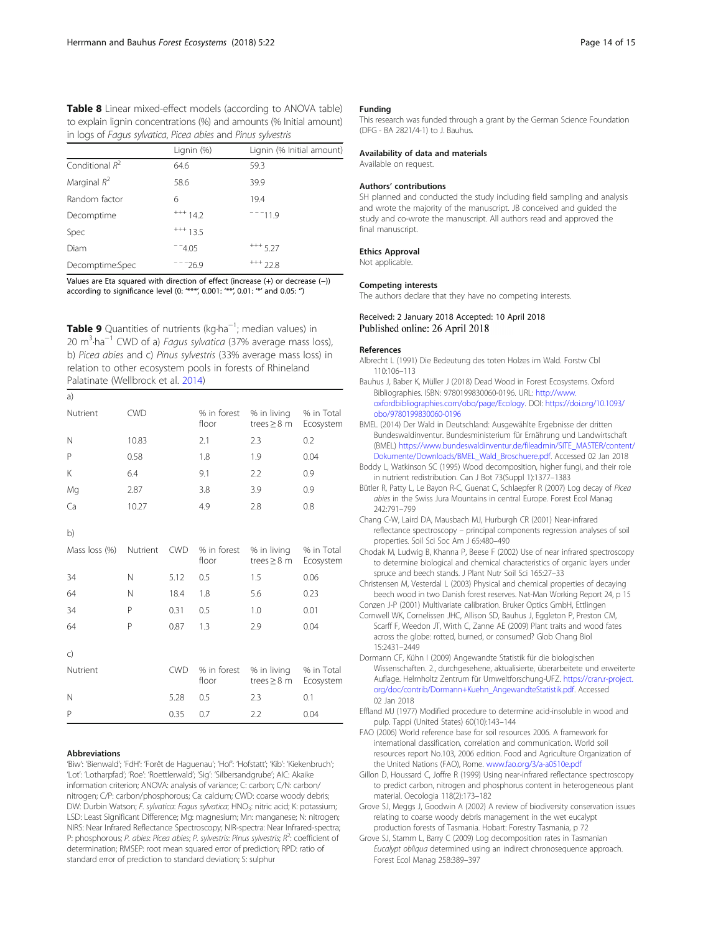<span id="page-13-0"></span>Table 8 Linear mixed-effect models (according to ANOVA table) to explain lignin concentrations (%) and amounts (% Initial amount) in logs of Fagus sylvatica, Picea abies and Pinus sylvestris

|                   | Lignin (%)    | Lignin (% Initial amount) |
|-------------------|---------------|---------------------------|
| Conditional $R^2$ | 64.6          | 59.3                      |
| Marginal $R^2$    | 58.6          | 39.9                      |
| Random factor     | 6             | 19.4                      |
| Decomptime        | $^{+++}$ 14.2 | $- - -11.9$               |
| Spec              | $***135$      |                           |
| Diam              | --4.05        | $*** 5.27$                |
| Decomptime:Spec   | 26.9          | $*** 22.8$                |

Values are Eta squared with direction of effect (increase (+) or decrease (−)) according to significance level (0: '\*\*\*', 0.001: '\*\*', 0.01: '\*' and 0.05: '')

Table 9 Quantities of nutrients (kg⋅ha<sup>-1</sup>; median values) in 20 m<sup>3</sup>·ha<sup>−1</sup> CWD of a) *Fagus sylvatica* (37% average mass loss),<br>b) *Picea abies* and c) *Pinus sylvestris* (33% average mass loss) in b) Picea abies and c) Pinus sylvestris (33% average mass loss) in relation to other ecosystem pools in forests of Rhineland Palatinate (Wellbrock et al. [2014\)](#page-14-0)

| <b>CWD</b> |            | % in forest<br>floor | % in living<br>trees $\geq 8$ m | % in Total<br>Ecosystem |
|------------|------------|----------------------|---------------------------------|-------------------------|
| 10.83      |            | 2.1                  | 2.3                             | 0.2                     |
| 0.58       |            | 1.8                  | 1.9                             | 0.04                    |
| 6.4        |            | 9.1                  | 2.2                             | 0.9                     |
| 2.87       |            | 3.8                  | 3.9                             | 0.9                     |
| 10.27      |            | 4.9                  | 2.8                             | 0.8                     |
|            |            |                      |                                 |                         |
| Nutrient   | <b>CWD</b> | % in forest<br>floor | % in living<br>$trees \geq 8 m$ | % in Total<br>Ecosystem |
| N          | 5.12       | 0.5                  | 1.5                             | 0.06                    |
| N          | 18.4       | 1.8                  | 5.6                             | 0.23                    |
| P          | 0.31       | 0.5                  | 1.0                             | 0.01                    |
| P          | 0.87       | 1.3                  | 2.9                             | 0.04                    |
|            |            |                      |                                 |                         |
|            | <b>CWD</b> | % in forest<br>floor | % in living<br>$trees \geq 8$ m | % in Total<br>Ecosystem |
|            | 5.28       | 0.5                  | 2.3                             | 0.1                     |
|            | 0.35       | 0.7                  | 2.2                             | 0.04                    |
|            |            |                      |                                 |                         |

## Abbreviations

'Biw': 'Bienwald'; 'FdH': 'Forêt de Haguenau'; 'Hof': 'Hofstatt'; 'Kib': 'Kiekenbruch'; 'Lot': 'Lotharpfad'; 'Roe': 'Roettlerwald'; 'Sig': 'Silbersandgrube'; AIC: Akaike information criterion; ANOVA: analysis of variance; C: carbon; C/N: carbon/ nitrogen; C/P: carbon/phosphorous; Ca: calcium; CWD: coarse woody debris; DW: Durbin Watson; F. sylvatica: Fagus sylvatica; HNO<sub>3</sub>: nitric acid; K: potassium; LSD: Least Significant Difference; Mg: magnesium; Mn: manganese; N: nitrogen; NIRS: Near Infrared Reflectance Spectroscopy; NIR-spectra: Near Infrared-spectra; P: phosphorous; P. abies: Picea abies; P. sylvestris: Pinus sylvestris;  $R^2$ : coefficient of determination: BMSEP: root mean squared error of prediction: BDD: ratio of determination; RMSEP: root mean squared error of prediction; RPD: ratio of standard error of prediction to standard deviation; S: sulphur

## Funding

This research was funded through a grant by the German Science Foundation (DFG - BA 2821/4-1) to J. Bauhus.

#### Availability of data and materials

Available on request.

#### Authors' contributions

SH planned and conducted the study including field sampling and analysis and wrote the majority of the manuscript. JB conceived and guided the study and co-wrote the manuscript. All authors read and approved the final manuscript.

#### Ethics Approval

Not applicable.

#### Competing interests

The authors declare that they have no competing interests.

## Received: 2 January 2018 Accepted: 10 April 2018 Published online: 26 April 2018

#### References

Albrecht L (1991) Die Bedeutung des toten Holzes im Wald. Forstw Cbl 110:106–113

| Bauhus J, Baber K, Müller J (2018) Dead Wood in Forest Ecosystems. Oxford                                                                                                                                                                                                                          |  |
|----------------------------------------------------------------------------------------------------------------------------------------------------------------------------------------------------------------------------------------------------------------------------------------------------|--|
| Bibliographies. ISBN: 9780199830060-0196. URL: http://www.<br>oxfordbibliographies.com/obo/page/Ecology. DOI: https://doi.org/10.1093/<br>obo/9780199830060-0196                                                                                                                                   |  |
|                                                                                                                                                                                                                                                                                                    |  |
| BMEL (2014) Der Wald in Deutschland: Ausgewählte Ergebnisse der dritten<br>Bundeswaldinventur. Bundesministerium für Ernährung und Landwirtschaft<br>(BMEL) https://www.bundeswaldinventur.de/fileadmin/SITE_MASTER/content/<br>Dokumente/Downloads/BMEL_Wald_Broschuere.pdf. Accessed 02 Jan 2018 |  |
| Boddy L, Watkinson SC (1995) Wood decomposition, higher fungi, and their role                                                                                                                                                                                                                      |  |
| in nutrient redistribution. Can J Bot 73(Suppl 1):1377-1383                                                                                                                                                                                                                                        |  |
| Bütler R, Patty L, Le Bayon R-C, Guenat C, Schlaepfer R (2007) Log decay of Picea<br>abies in the Swiss Jura Mountains in central Europe. Forest Ecol Manag<br>242:791-799                                                                                                                         |  |
| Chang C-W, Laird DA, Mausbach MJ, Hurburgh CR (2001) Near-infrared                                                                                                                                                                                                                                 |  |
| reflectance spectroscopy - principal components regression analyses of soil<br>properties. Soil Sci Soc Am J 65:480-490                                                                                                                                                                            |  |
| Chodak M, Ludwig B, Khanna P, Beese F (2002) Use of near infrared spectroscopy<br>to determine biological and chemical characteristics of organic layers under<br>spruce and beech stands. J Plant Nutr Soil Sci 165:27-33                                                                         |  |
| Christensen M, Vesterdal L (2003) Physical and chemical properties of decaying<br>beech wood in two Danish forest reserves. Nat-Man Working Report 24, p 15                                                                                                                                        |  |
| Conzen J-P (2001) Multivariate calibration. Bruker Optics GmbH, Ettlingen                                                                                                                                                                                                                          |  |
| Cornwell WK, Cornelissen JHC, Allison SD, Bauhus J, Eggleton P, Preston CM,<br>Scarff F, Weedon JT, Wirth C, Zanne AE (2009) Plant traits and wood fates<br>across the globe: rotted, burned, or consumed? Glob Chang Biol<br>15:2431-2449                                                         |  |
| Dormann CF, Kühn I (2009) Angewandte Statistik für die biologischen                                                                                                                                                                                                                                |  |
| Wissenschaften. 2., durchgesehene, aktualisierte, überarbeitete und erweiterte<br>Auflage. Helmholtz Zentrum für Umweltforschung-UFZ. https://cran.r-project.<br>org/doc/contrib/Dormann+Kuehn_AngewandteStatistik.pdf. Accessed                                                                   |  |
| 02 Jan 2018                                                                                                                                                                                                                                                                                        |  |
| Effland MJ (1977) Modified procedure to determine acid-insoluble in wood and<br>pulp. Tappi (United States) 60(10):143-144                                                                                                                                                                         |  |
| FAO (2006) World reference base for soil resources 2006. A framework for                                                                                                                                                                                                                           |  |
| international classification, correlation and communication. World soil<br>resources report No.103, 2006 edition. Eood and Agriculture Organization of                                                                                                                                             |  |

resources report No.103, 2006 edition. Food and Agriculture Organization of the United Nations (FAO), Rome. [www.fao.org/3/a-a0510e.pdf](http://www.fao.org/3/a-a0510e.pdf) Gillon D, Houssard C, Joffre R (1999) Using near-infrared reflectance spectroscopy

to predict carbon, nitrogen and phosphorus content in heterogeneous plant material. Oecologia 118(2):173–182

Grove SJ, Meggs J, Goodwin A (2002) A review of biodiversity conservation issues relating to coarse woody debris management in the wet eucalypt production forests of Tasmania. Hobart: Forestry Tasmania, p 72

Grove SJ, Stamm L, Barry C (2009) Log decomposition rates in Tasmanian Eucalypt obliqua determined using an indirect chronosequence approach. Forest Ecol Manag 258:389–397